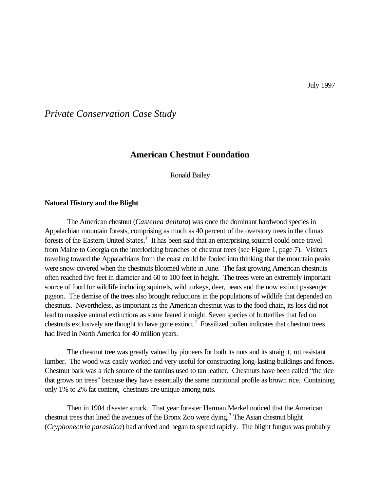*Private Conservation Case Study*

# **American Chestnut Foundation**

Ronald Bailey

#### **Natural History and the Blight**

The American chestnut (*Castenea dentata*) was once the dominant hardwood species in Appalachian mountain forests, comprising as much as 40 percent of the overstory trees in the climax forests of the Eastern United States.<sup>1</sup> It has been said that an enterprising squirrel could once travel from Maine to Georgia on the interlocking branches of chestnut trees (see Figure 1, page 7). Visitors traveling toward the Appalachians from the coast could be fooled into thinking that the mountain peaks were snow covered when the chestnuts bloomed white in June. The fast growing American chestnuts often reached five feet in diameter and 60 to 100 feet in height. The trees were an extremely important source of food for wildlife including squirrels, wild turkeys, deer, bears and the now extinct passenger pigeon. The demise of the trees also brought reductions in the populations of wildlife that depended on chestnuts. Nevertheless, as important as the American chestnut was to the food chain, its loss did not lead to massive animal extinctions as some feared it might. Seven species of butterflies that fed on chestnuts exclusively are thought to have gone extinct.<sup>2</sup> Fossilized pollen indicates that chestnut trees had lived in North America for 40 million years.

The chestnut tree was greatly valued by pioneers for both its nuts and its straight, rot resistant lumber. The wood was easily worked and very useful for constructing long-lasting buildings and fences. Chestnut bark was a rich source of the tannins used to tan leather. Chestnuts have been called "the rice that grows on trees" because they have essentially the same nutritional profile as brown rice. Containing only 1% to 2% fat content, chestnuts are unique among nuts.

Then in 1904 disaster struck. That year forester Herman Merkel noticed that the American chestnut trees that lined the avenues of the Bronx Zoo were dying.<sup>3</sup> The Asian chestnut blight (*Cryphonectria parasitica*) had arrived and began to spread rapidly. The blight fungus was probably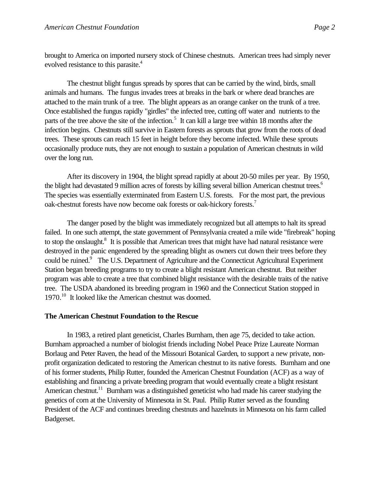brought to America on imported nursery stock of Chinese chestnuts. American trees had simply never evolved resistance to this parasite.<sup>4</sup>

The chestnut blight fungus spreads by spores that can be carried by the wind, birds, small animals and humans. The fungus invades trees at breaks in the bark or where dead branches are attached to the main trunk of a tree. The blight appears as an orange canker on the trunk of a tree. Once established the fungus rapidly "girdles" the infected tree, cutting off water and nutrients to the parts of the tree above the site of the infection.<sup>5</sup> It can kill a large tree within 18 months after the infection begins. Chestnuts still survive in Eastern forests as sprouts that grow from the roots of dead trees. These sprouts can reach 15 feet in height before they become infected. While these sprouts occasionally produce nuts, they are not enough to sustain a population of American chestnuts in wild over the long run.

After its discovery in 1904, the blight spread rapidly at about 20-50 miles per year. By 1950, the blight had devastated 9 million acres of forests by killing several billion American chestnut trees.<sup>6</sup> The species was essentially exterminated from Eastern U.S. forests. For the most part, the previous oak-chestnut forests have now become oak forests or oak-hickory forests.<sup>7</sup>

The danger posed by the blight was immediately recognized but all attempts to halt its spread failed. In one such attempt, the state government of Pennsylvania created a mile wide "firebreak" hoping to stop the onslaught.<sup>8</sup> It is possible that American trees that might have had natural resistance were destroyed in the panic engendered by the spreading blight as owners cut down their trees before they could be ruined.<sup>9</sup> The U.S. Department of Agriculture and the Connecticut Agricultural Experiment Station began breeding programs to try to create a blight resistant American chestnut. But neither program was able to create a tree that combined blight resistance with the desirable traits of the native tree. The USDA abandoned its breeding program in 1960 and the Connecticut Station stopped in 1970.<sup>10</sup> It looked like the American chestnut was doomed.

#### **The American Chestnut Foundation to the Rescue**

In 1983, a retired plant geneticist, Charles Burnham, then age 75, decided to take action. Burnham approached a number of biologist friends including Nobel Peace Prize Laureate Norman Borlaug and Peter Raven, the head of the Missouri Botanical Garden, to support a new private, nonprofit organization dedicated to restoring the American chestnut to its native forests. Burnham and one of his former students, Philip Rutter, founded the American Chestnut Foundation (ACF) as a way of establishing and financing a private breeding program that would eventually create a blight resistant American chestnut.<sup>11</sup> Burnham was a distinguished geneticist who had made his career studying the genetics of corn at the University of Minnesota in St. Paul. Philip Rutter served as the founding President of the ACF and continues breeding chestnuts and hazelnuts in Minnesota on his farm called Badgerset.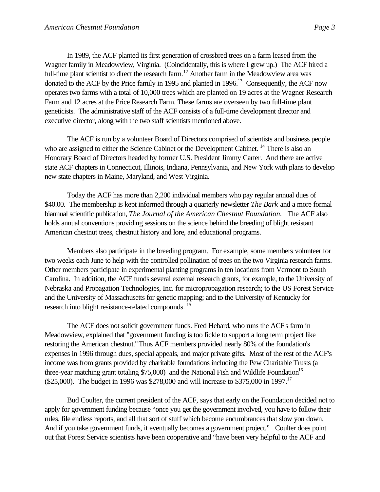In 1989, the ACF planted its first generation of crossbred trees on a farm leased from the Wagner family in Meadowview, Virginia. (Coincidentally, this is where I grew up.) The ACF hired a full-time plant scientist to direct the research farm.<sup>12</sup> Another farm in the Meadowview area was donated to the ACF by the Price family in 1995 and planted in 1996.<sup>13</sup> Consequently, the ACF now operates two farms with a total of 10,000 trees which are planted on 19 acres at the Wagner Research Farm and 12 acres at the Price Research Farm. These farms are overseen by two full-time plant geneticists. The administrative staff of the ACF consists of a full-time development director and executive director, along with the two staff scientists mentioned above.

The ACF is run by a volunteer Board of Directors comprised of scientists and business people who are assigned to either the Science Cabinet or the Development Cabinet. <sup>14</sup> There is also an Honorary Board of Directors headed by former U.S. President Jimmy Carter. And there are active state ACF chapters in Connecticut, Illinois, Indiana, Pennsylvania, and New York with plans to develop new state chapters in Maine, Maryland, and West Virginia.

Today the ACF has more than 2,200 individual members who pay regular annual dues of \$40.00. The membership is kept informed through a quarterly newsletter *The Bark* and a more formal biannual scientific publication, *The Journal of the American Chestnut Foundation.* The ACF also holds annual conventions providing sessions on the science behind the breeding of blight resistant American chestnut trees, chestnut history and lore, and educational programs.

Members also participate in the breeding program. For example, some members volunteer for two weeks each June to help with the controlled pollination of trees on the two Virginia research farms. Other members participate in experimental planting programs in ten locations from Vermont to South Carolina. In addition, the ACF funds several external research grants, for example, to the University of Nebraska and Propagation Technologies, Inc. for micropropagation research; to the US Forest Service and the University of Massachusetts for genetic mapping; and to the University of Kentucky for research into blight resistance-related compounds. <sup>15</sup>

The ACF does not solicit government funds. Fred Hebard, who runs the ACF's farm in Meadowview, explained that "government funding is too fickle to support a long term project like restoring the American chestnut." Thus ACF members provided nearly 80% of the foundation's expenses in 1996 through dues, special appeals, and major private gifts. Most of the rest of the ACF's income was from grants provided by charitable foundations including the Pew Charitable Trusts (a three-year matching grant totaling  $$75,000$ ) and the National Fish and Wildlife Foundation<sup>16</sup> (\$25,000). The budget in 1996 was \$278,000 and will increase to \$375,000 in 1997.<sup>17</sup>

Bud Coulter, the current president of the ACF, says that early on the Foundation decided not to apply for government funding because "once you get the government involved, you have to follow their rules, file endless reports, and all that sort of stuff which become encumbrances that slow you down. And if you take government funds, it eventually becomes a government project." Coulter does point out that Forest Service scientists have been cooperative and "have been very helpful to the ACF and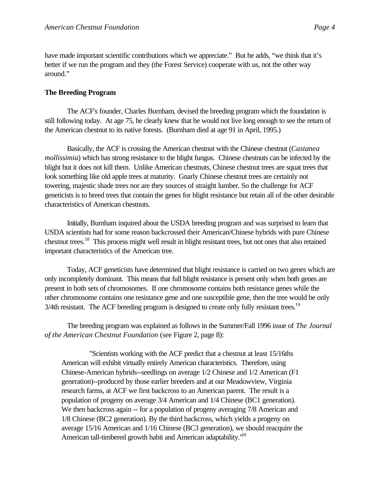have made important scientific contributions which we appreciate." But he adds, "we think that it's better if we run the program and they (the Forest Service) cooperate with us, not the other way around."

### **The Breeding Program**

The ACF's founder, Charles Burnham, devised the breeding program which the foundation is still following today. At age 75, he clearly knew that he would not live long enough to see the return of the American chestnut to its native forests. (Burnham died at age 91 in April, 1995.)

Basically, the ACF is crossing the American chestnut with the Chinese chestnut (*Castanea mollissimia*) which has strong resistance to the blight fungus. Chinese chestnuts can be infected by the blight but it does not kill them. Unlike American chestnuts, Chinese chestnut trees are squat trees that look something like old apple trees at maturity. Gnarly Chinese chestnut trees are certainly not towering, majestic shade trees nor are they sources of straight lumber. So the challenge for ACF geneticists is to breed trees that contain the genes for blight resistance but retain all of the other desirable characteristics of American chestnuts.

Initially, Burnham inquired about the USDA breeding program and was surprised to learn that USDA scientists had for some reason backcrossed their American/Chinese hybrids with pure Chinese chestnut trees.<sup>18</sup> This process might well result in blight resistant trees, but not ones that also retained important characteristics of the American tree.

Today, ACF geneticists have determined that blight resistance is carried on two genes which are only incompletely dominant. This means that full blight resistance is present only when both genes are present in both sets of chromosomes. If one chromosome contains both resistance genes while the other chromosome contains one resistance gene and one susceptible gene, then the tree would be only 3/4th resistant. The ACF breeding program is designed to create only fully resistant trees.<sup>19</sup>

The breeding program was explained as follows in the Summer/Fall 1996 issue of *The Journal of the American Chestnut Foundation* (see Figure 2, page 8):

"Scientists working with the ACF predict that a chestnut at least 15/16ths American will exhibit virtually entirely American characteristics. Therefore, using Chinese-American hybrids--seedlings on average 1/2 Chinese and 1/2 American (F1 generation)--produced by those earlier breeders and at our Meadowview, Virginia research farms, at ACF we first backcross to an American parent. The result is a population of progeny on average 3/4 American and 1/4 Chinese (BC1 generation). We then backcross again -- for a population of progeny averaging 7/8 American and 1/8 Chinese (BC2 generation). By the third backcross, which yields a progeny on average 15/16 American and 1/16 Chinese (BC3 generation), we should reacquire the American tall-timbered growth habit and American adaptability.<sup>120</sup>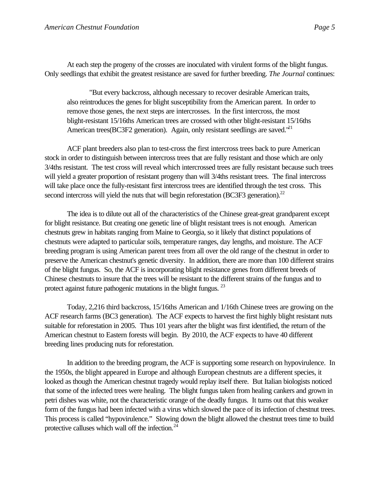At each step the progeny of the crosses are inoculated with virulent forms of the blight fungus. Only seedlings that exhibit the greatest resistance are saved for further breeding. *The Journal* continues:

"But every backcross, although necessary to recover desirable American traits, also reintroduces the genes for blight susceptibility from the American parent. In order to remove those genes, the next steps are intercrosses. In the first intercross, the most blight-resistant 15/16ths American trees are crossed with other blight-resistant 15/16ths American trees(BC3F2 generation). Again, only resistant seedlings are saved.<sup>"21</sup>

ACF plant breeders also plan to test-cross the first intercross trees back to pure American stock in order to distinguish between intercross trees that are fully resistant and those which are only 3/4ths resistant. The test cross will reveal which intercrossed trees are fully resistant because such trees will yield a greater proportion of resistant progeny than will 3/4ths resistant trees. The final intercross will take place once the fully-resistant first intercross trees are identified through the test cross. This second intercross will yield the nuts that will begin reforestation (BC3F3 generation).<sup>22</sup>

The idea is to dilute out all of the characteristics of the Chinese great-great grandparent except for blight resistance. But creating one genetic line of blight resistant trees is not enough. American chestnuts grew in habitats ranging from Maine to Georgia, so it likely that distinct populations of chestnuts were adapted to particular soils, temperature ranges, day lengths, and moisture. The ACF breeding program is using American parent trees from all over the old range of the chestnut in order to preserve the American chestnut's genetic diversity. In addition, there are more than 100 different strains of the blight fungus. So, the ACF is incorporating blight resistance genes from different breeds of Chinese chestnuts to insure that the trees will be resistant to the different strains of the fungus and to protect against future pathogenic mutations in the blight fungus.<sup>23</sup>

Today, 2,216 third backcross, 15/16ths American and 1/16th Chinese trees are growing on the ACF research farms (BC3 generation). The ACF expects to harvest the first highly blight resistant nuts suitable for reforestation in 2005. Thus 101 years after the blight was first identified, the return of the American chestnut to Eastern forests will begin. By 2010, the ACF expects to have 40 different breeding lines producing nuts for reforestation.

In addition to the breeding program, the ACF is supporting some research on hypovirulence. In the 1950s, the blight appeared in Europe and although European chestnuts are a different species, it looked as though the American chestnut tragedy would replay itself there. But Italian biologists noticed that some of the infected trees were healing. The blight fungus taken from healing cankers and grown in petri dishes was white, not the characteristic orange of the deadly fungus. It turns out that this weaker form of the fungus had been infected with a virus which slowed the pace of its infection of chestnut trees. This process is called "hypovirulence." Slowing down the blight allowed the chestnut trees time to build protective calluses which wall off the infection. $24$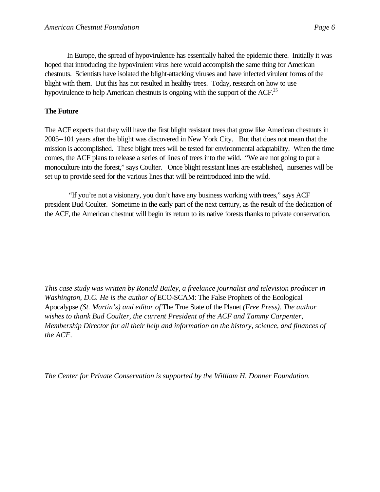In Europe, the spread of hypovirulence has essentially halted the epidemic there. Initially it was hoped that introducing the hypovirulent virus here would accomplish the same thing for American chestnuts. Scientists have isolated the blight-attacking viruses and have infected virulent forms of the blight with them. But this has not resulted in healthy trees. Today, research on how to use hypovirulence to help American chestnuts is ongoing with the support of the ACF.<sup>25</sup>

# **The Future**

The ACF expects that they will have the first blight resistant trees that grow like American chestnuts in 2005--101 years after the blight was discovered in New York City. But that does not mean that the mission is accomplished. These blight trees will be tested for environmental adaptability. When the time comes, the ACF plans to release a series of lines of trees into the wild. "We are not going to put a monoculture into the forest," says Coulter. Once blight resistant lines are established, nurseries will be set up to provide seed for the various lines that will be reintroduced into the wild.

 "If you're not a visionary, you don't have any business working with trees," says ACF president Bud Coulter. Sometime in the early part of the next century, as the result of the dedication of the ACF, the American chestnut will begin its return to its native forests thanks to private conservation.

*This case study was written by Ronald Bailey, a freelance journalist and television producer in Washington, D.C. He is the author of ECO-SCAM: The False Prophets of the Ecological* Apocalypse *(St. Martin's) and editor of* The True State of the Planet *(Free Press). The author wishes to thank Bud Coulter, the current President of the ACF and Tammy Carpenter, Membership Director for all their help and information on the history, science, and finances of the ACF*.

*The Center for Private Conservation is supported by the William H. Donner Foundation.*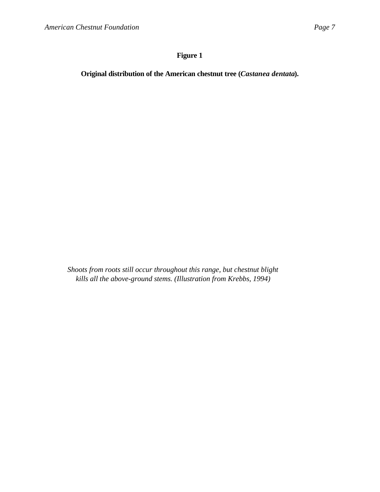# **Figure 1**

**Original distribution of the American chestnut tree (***Castanea dentata***).**

*Shoots from roots still occur throughout this range, but chestnut blight kills all the above-ground stems. (Illustration from Krebbs, 1994)*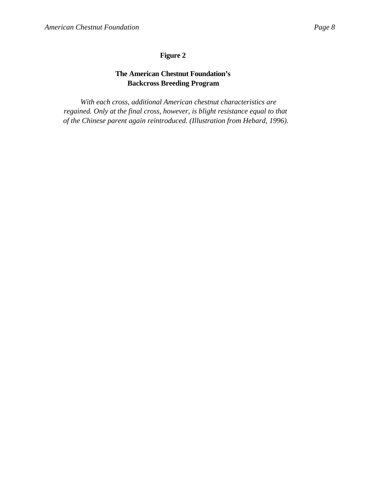# **Figure 2**

# **The American Chestnut Foundation's Backcross Breeding Program**

*With each cross, additional American chestnut characteristics are regained. Only at the final cross, however, is blight resistance equal to that of the Chinese parent again reintroduced. (Illustration from Hebard, 1996).*